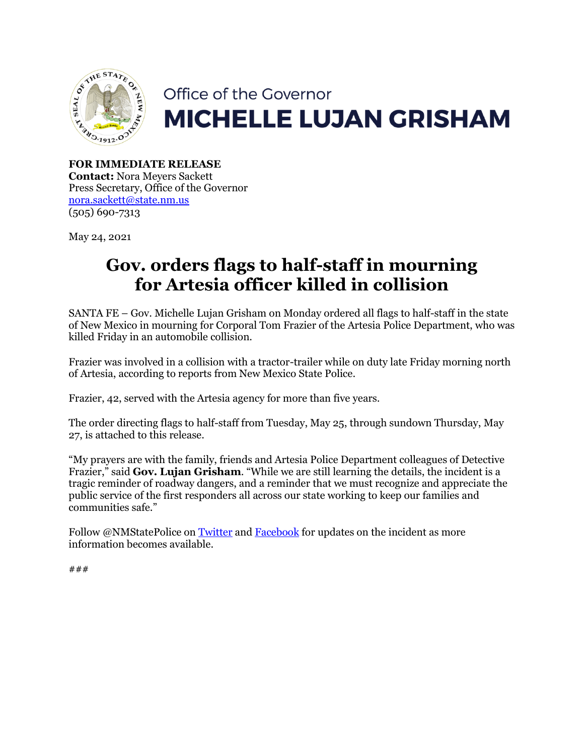

# Office of the Governor **MICHELLE LUJAN GRISHAM**

**FOR IMMEDIATE RELEASE Contact:** Nora Meyers Sackett Press Secretary, Office of the Governor [nora.sackett@state.nm.us](mailto:nora.sackett@state.nm.us) (505) 690-7313

May 24, 2021

## **Gov. orders flags to half-staff in mourning for Artesia officer killed in collision**

SANTA FE – Gov. Michelle Lujan Grisham on Monday ordered all flags to half-staff in the state of New Mexico in mourning for Corporal Tom Frazier of the Artesia Police Department, who was killed Friday in an automobile collision.

Frazier was involved in a collision with a tractor-trailer while on duty late Friday morning north of Artesia, according to reports from New Mexico State Police.

Frazier, 42, served with the Artesia agency for more than five years.

The order directing flags to half-staff from Tuesday, May 25, through sundown Thursday, May 27, is attached to this release.

"My prayers are with the family, friends and Artesia Police Department colleagues of Detective Frazier," said **Gov. Lujan Grisham**. "While we are still learning the details, the incident is a tragic reminder of roadway dangers, and a reminder that we must recognize and appreciate the public service of the first responders all across our state working to keep our families and communities safe."

Follow @NMStatePolice on [Twitter](https://twitter.com/NMStatePolice) and [Facebook](https://www.facebook.com/NMStatePolice/) for updates on the incident as more information becomes available.

###